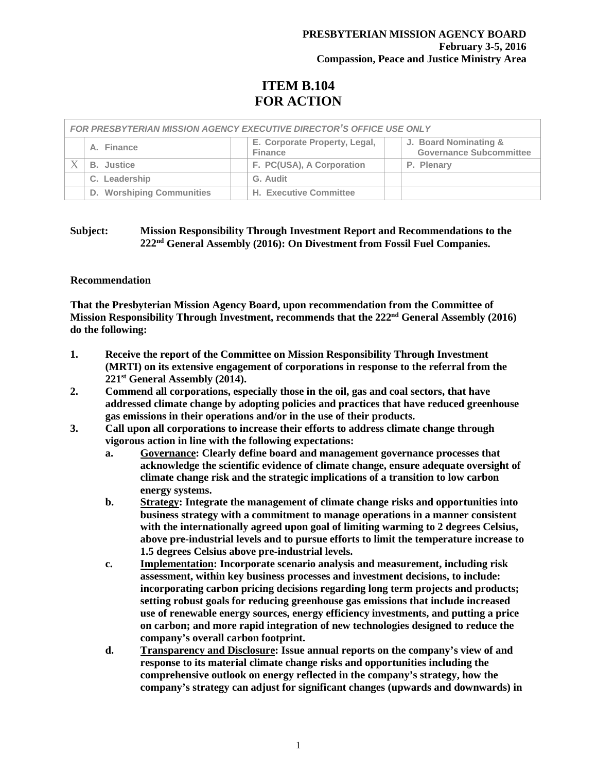# **ITEM B.104 FOR ACTION**

| <b>FOR PRESBYTERIAN MISSION AGENCY EXECUTIVE DIRECTOR'S OFFICE USE ONLY</b> |                           |  |                                                 |  |                                                         |
|-----------------------------------------------------------------------------|---------------------------|--|-------------------------------------------------|--|---------------------------------------------------------|
|                                                                             | A. Finance                |  | E. Corporate Property, Legal,<br><b>Finance</b> |  | J. Board Nominating &<br><b>Governance Subcommittee</b> |
|                                                                             | <b>B.</b> Justice         |  | F. PC(USA), A Corporation                       |  | P. Plenary                                              |
|                                                                             | C. Leadership             |  | G. Audit                                        |  |                                                         |
|                                                                             | D. Worshiping Communities |  | <b>H. Executive Committee</b>                   |  |                                                         |

## **Subject: Mission Responsibility Through Investment Report and Recommendations to the 222nd General Assembly (2016): On Divestment from Fossil Fuel Companies.**

## **Recommendation**

**That the Presbyterian Mission Agency Board, upon recommendation from the Committee of Mission Responsibility Through Investment, recommends that the 222nd General Assembly (2016) do the following:**

- **1. Receive the report of the Committee on Mission Responsibility Through Investment (MRTI) on its extensive engagement of corporations in response to the referral from the 221st General Assembly (2014).**
- **2. Commend all corporations, especially those in the oil, gas and coal sectors, that have addressed climate change by adopting policies and practices that have reduced greenhouse gas emissions in their operations and/or in the use of their products.**
- **3. Call upon all corporations to increase their efforts to address climate change through vigorous action in line with the following expectations:**
	- **a. Governance: Clearly define board and management governance processes that acknowledge the scientific evidence of climate change, ensure adequate oversight of climate change risk and the strategic implications of a transition to low carbon energy systems.**
	- **b. Strategy: Integrate the management of climate change risks and opportunities into business strategy with a commitment to manage operations in a manner consistent with the internationally agreed upon goal of limiting warming to 2 degrees Celsius, above pre-industrial levels and to pursue efforts to limit the temperature increase to 1.5 degrees Celsius above pre-industrial levels.**
	- **c. Implementation: Incorporate scenario analysis and measurement, including risk assessment, within key business processes and investment decisions, to include: incorporating carbon pricing decisions regarding long term projects and products; setting robust goals for reducing greenhouse gas emissions that include increased use of renewable energy sources, energy efficiency investments, and putting a price on carbon; and more rapid integration of new technologies designed to reduce the company's overall carbon footprint.**
	- **d. Transparency and Disclosure: Issue annual reports on the company's view of and response to its material climate change risks and opportunities including the comprehensive outlook on energy reflected in the company's strategy, how the company's strategy can adjust for significant changes (upwards and downwards) in**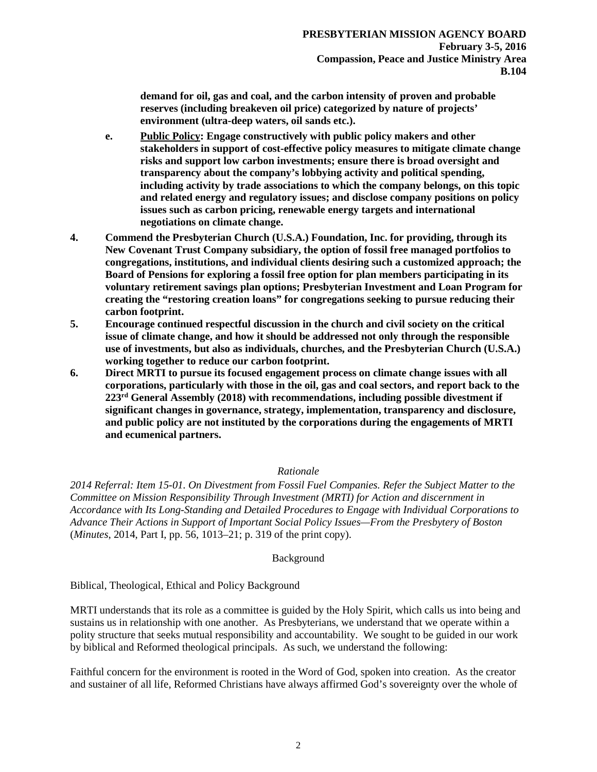**demand for oil, gas and coal, and the carbon intensity of proven and probable reserves (including breakeven oil price) categorized by nature of projects' environment (ultra-deep waters, oil sands etc.).**

- **e. Public Policy: Engage constructively with public policy makers and other stakeholders in support of cost-effective policy measures to mitigate climate change risks and support low carbon investments; ensure there is broad oversight and transparency about the company's lobbying activity and political spending, including activity by trade associations to which the company belongs, on this topic and related energy and regulatory issues; and disclose company positions on policy issues such as carbon pricing, renewable energy targets and international negotiations on climate change.**
- **4. Commend the Presbyterian Church (U.S.A.) Foundation, Inc. for providing, through its New Covenant Trust Company subsidiary, the option of fossil free managed portfolios to congregations, institutions, and individual clients desiring such a customized approach; the Board of Pensions for exploring a fossil free option for plan members participating in its voluntary retirement savings plan options; Presbyterian Investment and Loan Program for creating the "restoring creation loans" for congregations seeking to pursue reducing their carbon footprint.**
- **5. Encourage continued respectful discussion in the church and civil society on the critical issue of climate change, and how it should be addressed not only through the responsible use of investments, but also as individuals, churches, and the Presbyterian Church (U.S.A.) working together to reduce our carbon footprint.**
- **6. Direct MRTI to pursue its focused engagement process on climate change issues with all corporations, particularly with those in the oil, gas and coal sectors, and report back to the 223rd General Assembly (2018) with recommendations, including possible divestment if significant changes in governance, strategy, implementation, transparency and disclosure, and public policy are not instituted by the corporations during the engagements of MRTI and ecumenical partners.**

## *Rationale*

*2014 Referral: Item 15-01. On Divestment from Fossil Fuel Companies. Refer the Subject Matter to the Committee on Mission Responsibility Through Investment (MRTI) for Action and discernment in Accordance with Its Long-Standing and Detailed Procedures to Engage with Individual Corporations to Advance Their Actions in Support of Important Social Policy Issues—From the Presbytery of Boston*  (*Minutes*, 2014, Part I, pp. 56, 1013–21; p. 319 of the print copy).

## Background

Biblical, Theological, Ethical and Policy Background

MRTI understands that its role as a committee is guided by the Holy Spirit, which calls us into being and sustains us in relationship with one another. As Presbyterians, we understand that we operate within a polity structure that seeks mutual responsibility and accountability. We sought to be guided in our work by biblical and Reformed theological principals. As such, we understand the following:

Faithful concern for the environment is rooted in the Word of God, spoken into creation. As the creator and sustainer of all life, Reformed Christians have always affirmed God's sovereignty over the whole of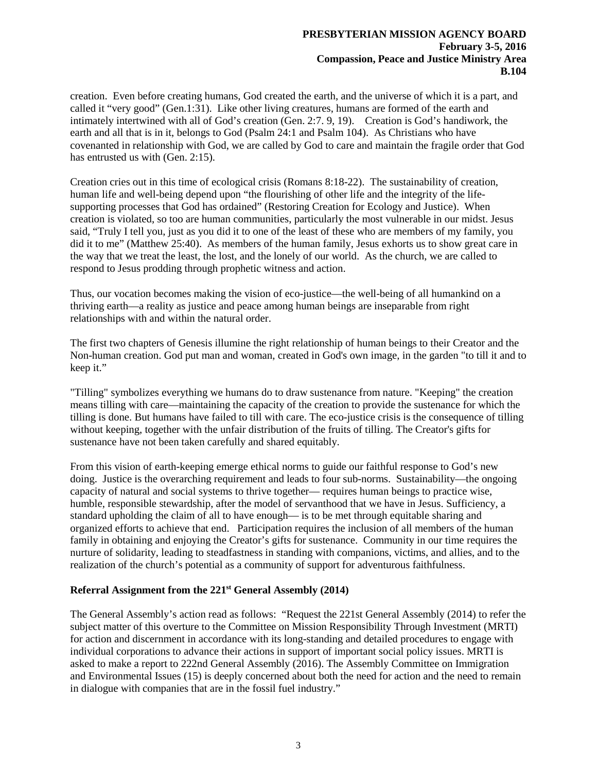creation. Even before creating humans, God created the earth, and the universe of which it is a part, and called it "very good" (Gen.1:31). Like other living creatures, humans are formed of the earth and intimately intertwined with all of God's creation (Gen. 2:7. 9, 19). Creation is God's handiwork, the earth and all that is in it, belongs to God (Psalm 24:1 and Psalm 104). As Christians who have covenanted in relationship with God, we are called by God to care and maintain the fragile order that God has entrusted us with (Gen. 2:15).

Creation cries out in this time of ecological crisis (Romans 8:18-22). The sustainability of creation, human life and well-being depend upon "the flourishing of other life and the integrity of the lifesupporting processes that God has ordained" (Restoring Creation for Ecology and Justice). When creation is violated, so too are human communities, particularly the most vulnerable in our midst. Jesus said, "Truly I tell you, just as you did it to one of the least of these who are members of my family, you did it to me" (Matthew 25:40). As members of the human family, Jesus exhorts us to show great care in the way that we treat the least, the lost, and the lonely of our world. As the church, we are called to respond to Jesus prodding through prophetic witness and action.

Thus, our vocation becomes making the vision of eco-justice—the well-being of all humankind on a thriving earth—a reality as justice and peace among human beings are inseparable from right relationships with and within the natural order.

The first two chapters of Genesis illumine the right relationship of human beings to their Creator and the Non-human creation. God put man and woman, created in God's own image, in the garden "to till it and to keep it."

"Tilling" symbolizes everything we humans do to draw sustenance from nature. "Keeping" the creation means tilling with care—maintaining the capacity of the creation to provide the sustenance for which the tilling is done. But humans have failed to till with care. The eco-justice crisis is the consequence of tilling without keeping, together with the unfair distribution of the fruits of tilling. The Creator's gifts for sustenance have not been taken carefully and shared equitably.

From this vision of earth-keeping emerge ethical norms to guide our faithful response to God's new doing. Justice is the overarching requirement and leads to four sub-norms. Sustainability—the ongoing capacity of natural and social systems to thrive together— requires human beings to practice wise, humble, responsible stewardship, after the model of servanthood that we have in Jesus. Sufficiency, a standard upholding the claim of all to have enough— is to be met through equitable sharing and organized efforts to achieve that end. Participation requires the inclusion of all members of the human family in obtaining and enjoying the Creator's gifts for sustenance. Community in our time requires the nurture of solidarity, leading to steadfastness in standing with companions, victims, and allies, and to the realization of the church's potential as a community of support for adventurous faithfulness.

# **Referral Assignment from the 221st General Assembly (2014)**

The General Assembly's action read as follows: "Request the 221st General Assembly (2014) to refer the subject matter of this overture to the Committee on Mission Responsibility Through Investment (MRTI) for action and discernment in accordance with its long-standing and detailed procedures to engage with individual corporations to advance their actions in support of important social policy issues. MRTI is asked to make a report to 222nd General Assembly (2016). The Assembly Committee on Immigration and Environmental Issues (15) is deeply concerned about both the need for action and the need to remain in dialogue with companies that are in the fossil fuel industry."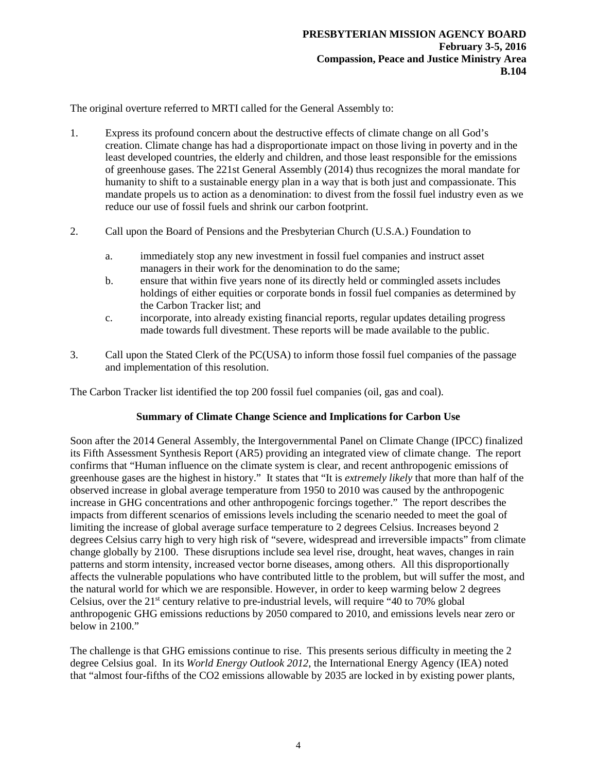The original overture referred to MRTI called for the General Assembly to:

- 1. Express its profound concern about the destructive effects of climate change on all God's creation. Climate change has had a disproportionate impact on those living in poverty and in the least developed countries, the elderly and children, and those least responsible for the emissions of greenhouse gases. The 221st General Assembly (2014) thus recognizes the moral mandate for humanity to shift to a sustainable energy plan in a way that is both just and compassionate. This mandate propels us to action as a denomination: to divest from the fossil fuel industry even as we reduce our use of fossil fuels and shrink our carbon footprint.
- 2. Call upon the Board of Pensions and the Presbyterian Church (U.S.A.) Foundation to
	- a. immediately stop any new investment in fossil fuel companies and instruct asset managers in their work for the denomination to do the same;
	- b. ensure that within five years none of its directly held or commingled assets includes holdings of either equities or corporate bonds in fossil fuel companies as determined by the Carbon Tracker list; and
	- c. incorporate, into already existing financial reports, regular updates detailing progress made towards full divestment. These reports will be made available to the public.
- 3. Call upon the Stated Clerk of the PC(USA) to inform those fossil fuel companies of the passage and implementation of this resolution.

The Carbon Tracker list identified the top 200 fossil fuel companies (oil, gas and coal).

## **Summary of Climate Change Science and Implications for Carbon Use**

Soon after the 2014 General Assembly, the Intergovernmental Panel on Climate Change (IPCC) finalized its Fifth Assessment Synthesis Report (AR5) providing an integrated view of climate change. The report confirms that "Human influence on the climate system is clear, and recent anthropogenic emissions of greenhouse gases are the highest in history." It states that "It is *extremely likely* that more than half of the observed increase in global average temperature from 1950 to 2010 was caused by the anthropogenic increase in GHG concentrations and other anthropogenic forcings together." The report describes the impacts from different scenarios of emissions levels including the scenario needed to meet the goal of limiting the increase of global average surface temperature to 2 degrees Celsius. Increases beyond 2 degrees Celsius carry high to very high risk of "severe, widespread and irreversible impacts" from climate change globally by 2100. These disruptions include sea level rise, drought, heat waves, changes in rain patterns and storm intensity, increased vector borne diseases, among others. All this disproportionally affects the vulnerable populations who have contributed little to the problem, but will suffer the most, and the natural world for which we are responsible. However, in order to keep warming below 2 degrees Celsius, over the  $21<sup>st</sup>$  century relative to pre-industrial levels, will require "40 to 70% global anthropogenic GHG emissions reductions by 2050 compared to 2010, and emissions levels near zero or below in 2100."

The challenge is that GHG emissions continue to rise. This presents serious difficulty in meeting the 2 degree Celsius goal. In its *World Energy Outlook 2012*, the International Energy Agency (IEA) noted that "almost four-fifths of the CO2 emissions allowable by 2035 are locked in by existing power plants,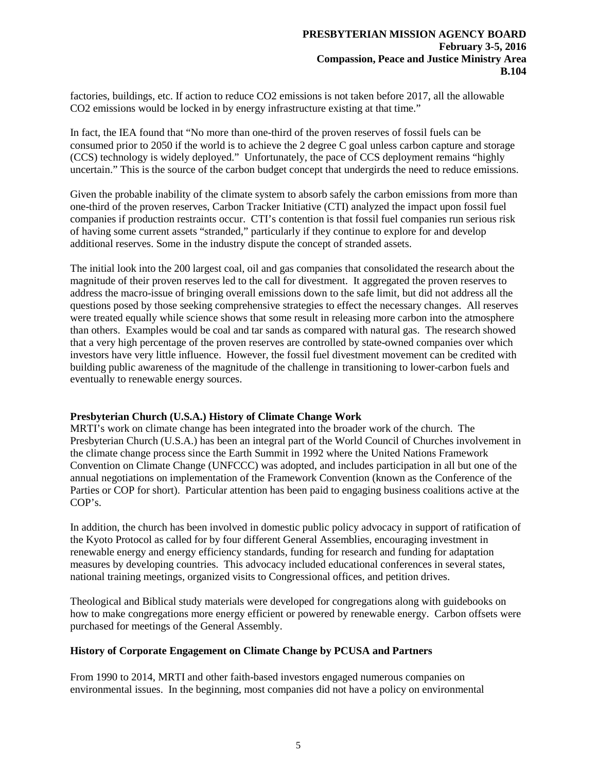factories, buildings, etc. If action to reduce CO2 emissions is not taken before 2017, all the allowable CO2 emissions would be locked in by energy infrastructure existing at that time."

In fact, the IEA found that "No more than one-third of the proven reserves of fossil fuels can be consumed prior to 2050 if the world is to achieve the 2 degree C goal unless carbon capture and storage (CCS) technology is widely deployed." Unfortunately, the pace of CCS deployment remains "highly uncertain." This is the source of the carbon budget concept that undergirds the need to reduce emissions.

Given the probable inability of the climate system to absorb safely the carbon emissions from more than one-third of the proven reserves, Carbon Tracker Initiative (CTI) analyzed the impact upon fossil fuel companies if production restraints occur. CTI's contention is that fossil fuel companies run serious risk of having some current assets "stranded," particularly if they continue to explore for and develop additional reserves. Some in the industry dispute the concept of stranded assets.

The initial look into the 200 largest coal, oil and gas companies that consolidated the research about the magnitude of their proven reserves led to the call for divestment. It aggregated the proven reserves to address the macro-issue of bringing overall emissions down to the safe limit, but did not address all the questions posed by those seeking comprehensive strategies to effect the necessary changes. All reserves were treated equally while science shows that some result in releasing more carbon into the atmosphere than others. Examples would be coal and tar sands as compared with natural gas. The research showed that a very high percentage of the proven reserves are controlled by state-owned companies over which investors have very little influence. However, the fossil fuel divestment movement can be credited with building public awareness of the magnitude of the challenge in transitioning to lower-carbon fuels and eventually to renewable energy sources.

## **Presbyterian Church (U.S.A.) History of Climate Change Work**

MRTI's work on climate change has been integrated into the broader work of the church. The Presbyterian Church (U.S.A.) has been an integral part of the World Council of Churches involvement in the climate change process since the Earth Summit in 1992 where the United Nations Framework Convention on Climate Change (UNFCCC) was adopted, and includes participation in all but one of the annual negotiations on implementation of the Framework Convention (known as the Conference of the Parties or COP for short). Particular attention has been paid to engaging business coalitions active at the COP's.

In addition, the church has been involved in domestic public policy advocacy in support of ratification of the Kyoto Protocol as called for by four different General Assemblies, encouraging investment in renewable energy and energy efficiency standards, funding for research and funding for adaptation measures by developing countries. This advocacy included educational conferences in several states, national training meetings, organized visits to Congressional offices, and petition drives.

Theological and Biblical study materials were developed for congregations along with guidebooks on how to make congregations more energy efficient or powered by renewable energy. Carbon offsets were purchased for meetings of the General Assembly.

#### **History of Corporate Engagement on Climate Change by PCUSA and Partners**

From 1990 to 2014, MRTI and other faith-based investors engaged numerous companies on environmental issues. In the beginning, most companies did not have a policy on environmental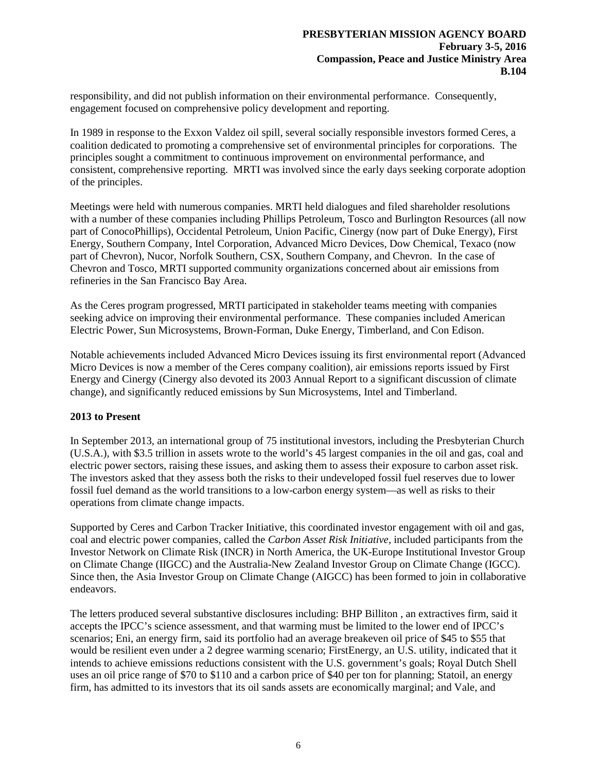responsibility, and did not publish information on their environmental performance. Consequently, engagement focused on comprehensive policy development and reporting.

In 1989 in response to the Exxon Valdez oil spill, several socially responsible investors formed Ceres, a coalition dedicated to promoting a comprehensive set of environmental principles for corporations. The principles sought a commitment to continuous improvement on environmental performance, and consistent, comprehensive reporting. MRTI was involved since the early days seeking corporate adoption of the principles.

Meetings were held with numerous companies. MRTI held dialogues and filed shareholder resolutions with a number of these companies including Phillips Petroleum, Tosco and Burlington Resources (all now part of ConocoPhillips), Occidental Petroleum, Union Pacific, Cinergy (now part of Duke Energy), First Energy, Southern Company, Intel Corporation, Advanced Micro Devices, Dow Chemical, Texaco (now part of Chevron), Nucor, Norfolk Southern, CSX, Southern Company, and Chevron. In the case of Chevron and Tosco, MRTI supported community organizations concerned about air emissions from refineries in the San Francisco Bay Area.

As the Ceres program progressed, MRTI participated in stakeholder teams meeting with companies seeking advice on improving their environmental performance. These companies included American Electric Power, Sun Microsystems, Brown-Forman, Duke Energy, Timberland, and Con Edison.

Notable achievements included Advanced Micro Devices issuing its first environmental report (Advanced Micro Devices is now a member of the Ceres company coalition), air emissions reports issued by First Energy and Cinergy (Cinergy also devoted its 2003 Annual Report to a significant discussion of climate change), and significantly reduced emissions by Sun Microsystems, Intel and Timberland.

## **2013 to Present**

In September 2013, an international group of 75 institutional investors, including the Presbyterian Church (U.S.A.), with \$3.5 trillion in assets wrote to the world's 45 largest companies in the oil and gas, coal and electric power sectors, raising these issues, and asking them to assess their exposure to carbon asset risk. The investors asked that they assess both the risks to their undeveloped fossil fuel reserves due to lower fossil fuel demand as the world transitions to a low-carbon energy system—as well as risks to their operations from climate change impacts.

Supported by Ceres and Carbon Tracker Initiative, this coordinated investor engagement with oil and gas, coal and electric power companies, called the *Carbon Asset Risk Initiative*, included participants from the Investor Network on Climate Risk (INCR) in North America, the UK-Europe Institutional Investor Group on Climate Change (IIGCC) and the Australia-New Zealand Investor Group on Climate Change (IGCC). Since then, the Asia Investor Group on Climate Change (AIGCC) has been formed to join in collaborative endeavors.

The letters produced several substantive disclosures including: BHP Billiton , an extractives firm, said it accepts the IPCC's science assessment, and that warming must be limited to the lower end of IPCC's scenarios; Eni, an energy firm, said its portfolio had an average breakeven oil price of \$45 to \$55 that would be resilient even under a 2 degree warming scenario; FirstEnergy, an U.S. utility, indicated that it intends to achieve emissions reductions consistent with the U.S. government's goals; Royal Dutch Shell uses an oil price range of \$70 to \$110 and a carbon price of \$40 per ton for planning; Statoil, an energy firm, has admitted to its investors that its oil sands assets are economically marginal; and Vale, and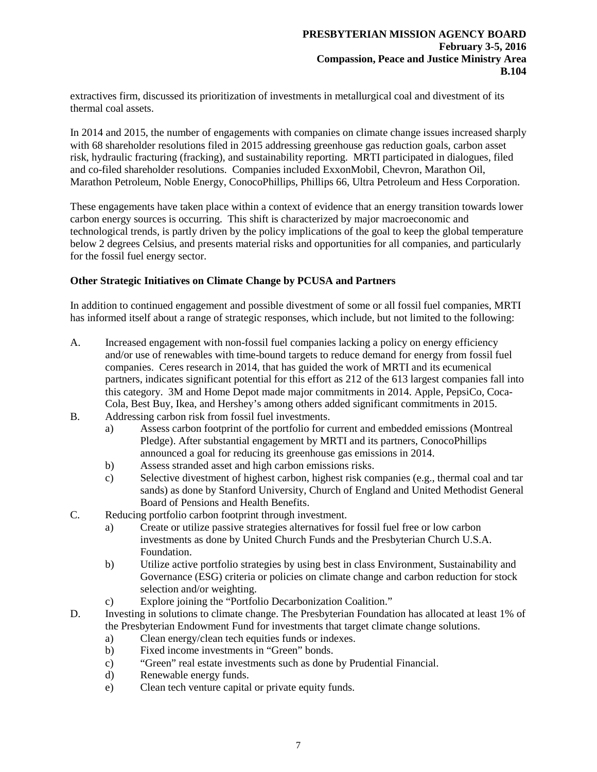extractives firm, discussed its prioritization of investments in metallurgical coal and divestment of its thermal coal assets.

In 2014 and 2015, the number of engagements with companies on climate change issues increased sharply with 68 shareholder resolutions filed in 2015 addressing greenhouse gas reduction goals, carbon asset risk, hydraulic fracturing (fracking), and sustainability reporting. MRTI participated in dialogues, filed and co-filed shareholder resolutions. Companies included ExxonMobil, Chevron, Marathon Oil, Marathon Petroleum, Noble Energy, ConocoPhillips, Phillips 66, Ultra Petroleum and Hess Corporation.

These engagements have taken place within a context of evidence that an energy transition towards lower carbon energy sources is occurring. This shift is characterized by major macroeconomic and technological trends, is partly driven by the policy implications of the goal to keep the global temperature below 2 degrees Celsius, and presents material risks and opportunities for all companies, and particularly for the fossil fuel energy sector.

## **Other Strategic Initiatives on Climate Change by PCUSA and Partners**

In addition to continued engagement and possible divestment of some or all fossil fuel companies, MRTI has informed itself about a range of strategic responses, which include, but not limited to the following:

- A. Increased engagement with non-fossil fuel companies lacking a policy on energy efficiency and/or use of renewables with time-bound targets to reduce demand for energy from fossil fuel companies. Ceres research in 2014, that has guided the work of MRTI and its ecumenical partners, indicates significant potential for this effort as 212 of the 613 largest companies fall into this category. 3M and Home Depot made major commitments in 2014. Apple, PepsiCo, Coca-Cola, Best Buy, Ikea, and Hershey's among others added significant commitments in 2015.
- B. Addressing carbon risk from fossil fuel investments.
	- a) Assess carbon footprint of the portfolio for current and embedded emissions (Montreal Pledge). After substantial engagement by MRTI and its partners, ConocoPhillips announced a goal for reducing its greenhouse gas emissions in 2014.
	- b) Assess stranded asset and high carbon emissions risks.
	- c) Selective divestment of highest carbon, highest risk companies (e.g., thermal coal and tar sands) as done by Stanford University, Church of England and United Methodist General Board of Pensions and Health Benefits.
- C. Reducing portfolio carbon footprint through investment.
	- a) Create or utilize passive strategies alternatives for fossil fuel free or low carbon investments as done by United Church Funds and the Presbyterian Church U.S.A. Foundation.
	- b) Utilize active portfolio strategies by using best in class Environment, Sustainability and Governance (ESG) criteria or policies on climate change and carbon reduction for stock selection and/or weighting.
	- c) Explore joining the "Portfolio Decarbonization Coalition."
- D. Investing in solutions to climate change. The Presbyterian Foundation has allocated at least 1% of the Presbyterian Endowment Fund for investments that target climate change solutions.
	- a) Clean energy/clean tech equities funds or indexes.
	- b) Fixed income investments in "Green" bonds.
	- c) "Green" real estate investments such as done by Prudential Financial.
	- d) Renewable energy funds.
	- e) Clean tech venture capital or private equity funds.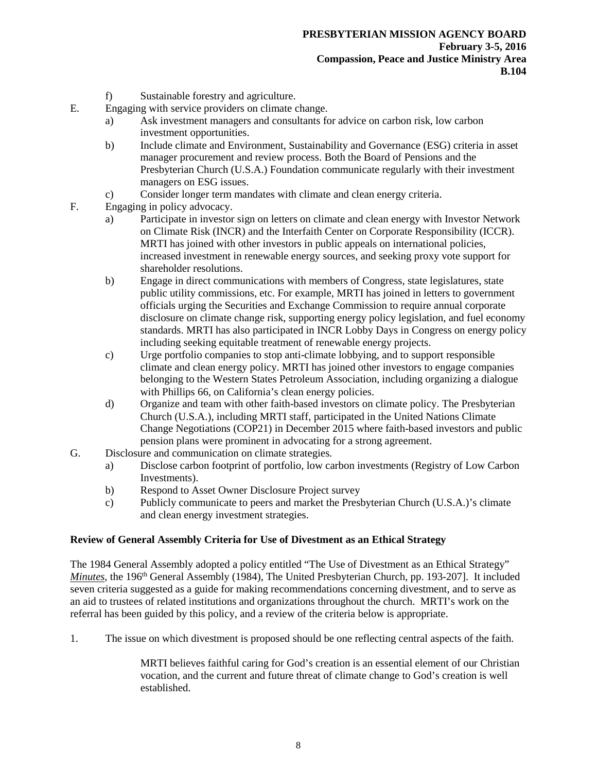- f) Sustainable forestry and agriculture.
- E. Engaging with service providers on climate change.
	- a) Ask investment managers and consultants for advice on carbon risk, low carbon investment opportunities.
	- b) Include climate and Environment, Sustainability and Governance (ESG) criteria in asset manager procurement and review process. Both the Board of Pensions and the Presbyterian Church (U.S.A.) Foundation communicate regularly with their investment managers on ESG issues.
	- c) Consider longer term mandates with climate and clean energy criteria.
- F. Engaging in policy advocacy.
	- a) Participate in investor sign on letters on climate and clean energy with Investor Network on Climate Risk (INCR) and the Interfaith Center on Corporate Responsibility (ICCR). MRTI has joined with other investors in public appeals on international policies, increased investment in renewable energy sources, and seeking proxy vote support for shareholder resolutions.
	- b) Engage in direct communications with members of Congress, state legislatures, state public utility commissions, etc. For example, MRTI has joined in letters to government officials urging the Securities and Exchange Commission to require annual corporate disclosure on climate change risk, supporting energy policy legislation, and fuel economy standards. MRTI has also participated in INCR Lobby Days in Congress on energy policy including seeking equitable treatment of renewable energy projects.
	- c) Urge portfolio companies to stop anti-climate lobbying, and to support responsible climate and clean energy policy. MRTI has joined other investors to engage companies belonging to the Western States Petroleum Association, including organizing a dialogue with Phillips 66, on California's clean energy policies.
	- d) Organize and team with other faith-based investors on climate policy. The Presbyterian Church (U.S.A.), including MRTI staff, participated in the United Nations Climate Change Negotiations (COP21) in December 2015 where faith-based investors and public pension plans were prominent in advocating for a strong agreement.
- G. Disclosure and communication on climate strategies.
	- a) Disclose carbon footprint of portfolio, low carbon investments (Registry of Low Carbon Investments).
	- b) Respond to Asset Owner Disclosure Project survey
	- c) Publicly communicate to peers and market the Presbyterian Church (U.S.A.)'s climate and clean energy investment strategies.

# **Review of General Assembly Criteria for Use of Divestment as an Ethical Strategy**

The 1984 General Assembly adopted a policy entitled "The Use of Divestment as an Ethical Strategy" *Minutes*, the 196<sup>th</sup> General Assembly (1984), The United Presbyterian Church, pp. 193-207]. It included seven criteria suggested as a guide for making recommendations concerning divestment, and to serve as an aid to trustees of related institutions and organizations throughout the church. MRTI's work on the referral has been guided by this policy, and a review of the criteria below is appropriate.

1. The issue on which divestment is proposed should be one reflecting central aspects of the faith.

MRTI believes faithful caring for God's creation is an essential element of our Christian vocation, and the current and future threat of climate change to God's creation is well established.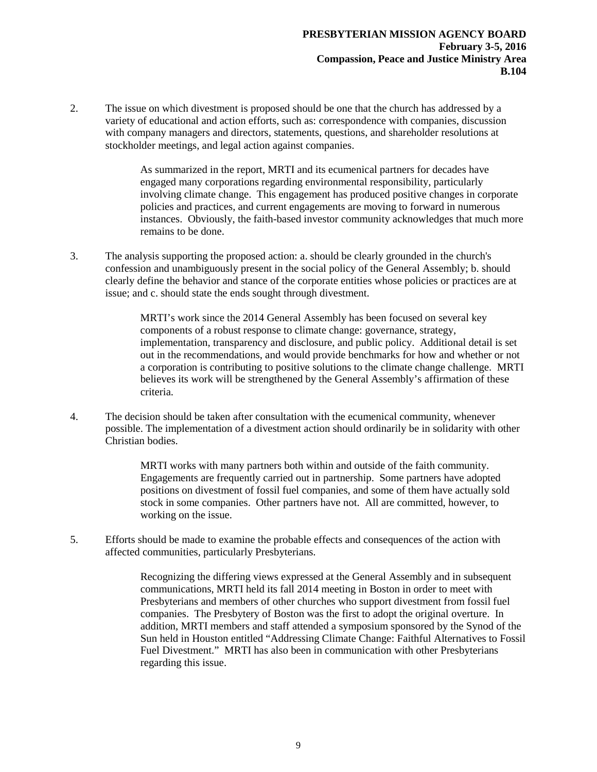2. The issue on which divestment is proposed should be one that the church has addressed by a variety of educational and action efforts, such as: correspondence with companies, discussion with company managers and directors, statements, questions, and shareholder resolutions at stockholder meetings, and legal action against companies.

> As summarized in the report, MRTI and its ecumenical partners for decades have engaged many corporations regarding environmental responsibility, particularly involving climate change. This engagement has produced positive changes in corporate policies and practices, and current engagements are moving to forward in numerous instances. Obviously, the faith-based investor community acknowledges that much more remains to be done.

3. The analysis supporting the proposed action: a. should be clearly grounded in the church's confession and unambiguously present in the social policy of the General Assembly; b. should clearly define the behavior and stance of the corporate entities whose policies or practices are at issue; and c. should state the ends sought through divestment.

> MRTI's work since the 2014 General Assembly has been focused on several key components of a robust response to climate change: governance, strategy, implementation, transparency and disclosure, and public policy. Additional detail is set out in the recommendations, and would provide benchmarks for how and whether or not a corporation is contributing to positive solutions to the climate change challenge. MRTI believes its work will be strengthened by the General Assembly's affirmation of these criteria.

4. The decision should be taken after consultation with the ecumenical community, whenever possible. The implementation of a divestment action should ordinarily be in solidarity with other Christian bodies.

> MRTI works with many partners both within and outside of the faith community. Engagements are frequently carried out in partnership. Some partners have adopted positions on divestment of fossil fuel companies, and some of them have actually sold stock in some companies. Other partners have not. All are committed, however, to working on the issue.

5. Efforts should be made to examine the probable effects and consequences of the action with affected communities, particularly Presbyterians.

> Recognizing the differing views expressed at the General Assembly and in subsequent communications, MRTI held its fall 2014 meeting in Boston in order to meet with Presbyterians and members of other churches who support divestment from fossil fuel companies. The Presbytery of Boston was the first to adopt the original overture. In addition, MRTI members and staff attended a symposium sponsored by the Synod of the Sun held in Houston entitled "Addressing Climate Change: Faithful Alternatives to Fossil Fuel Divestment." MRTI has also been in communication with other Presbyterians regarding this issue.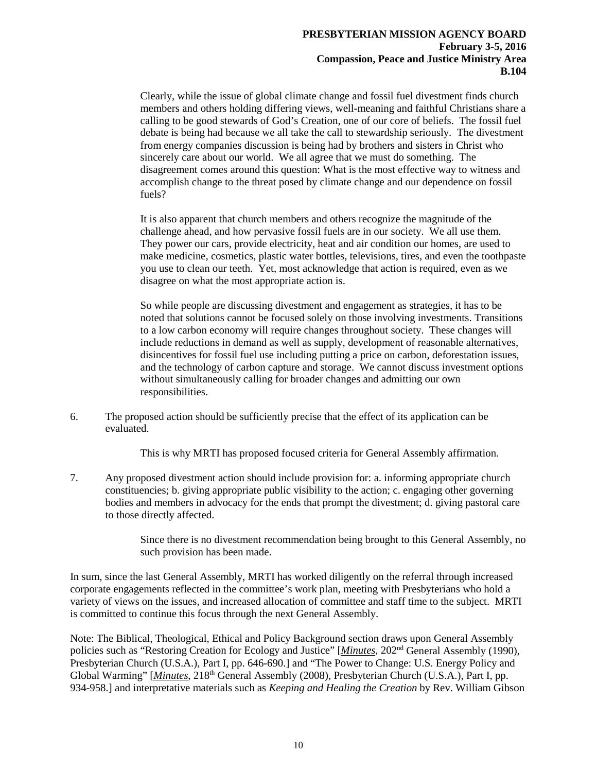Clearly, while the issue of global climate change and fossil fuel divestment finds church members and others holding differing views, well-meaning and faithful Christians share a calling to be good stewards of God's Creation, one of our core of beliefs. The fossil fuel debate is being had because we all take the call to stewardship seriously. The divestment from energy companies discussion is being had by brothers and sisters in Christ who sincerely care about our world. We all agree that we must do something. The disagreement comes around this question: What is the most effective way to witness and accomplish change to the threat posed by climate change and our dependence on fossil fuels?

It is also apparent that church members and others recognize the magnitude of the challenge ahead, and how pervasive fossil fuels are in our society. We all use them. They power our cars, provide electricity, heat and air condition our homes, are used to make medicine, cosmetics, plastic water bottles, televisions, tires, and even the toothpaste you use to clean our teeth. Yet, most acknowledge that action is required, even as we disagree on what the most appropriate action is.

So while people are discussing divestment and engagement as strategies, it has to be noted that solutions cannot be focused solely on those involving investments. Transitions to a low carbon economy will require changes throughout society. These changes will include reductions in demand as well as supply, development of reasonable alternatives, disincentives for fossil fuel use including putting a price on carbon, deforestation issues, and the technology of carbon capture and storage. We cannot discuss investment options without simultaneously calling for broader changes and admitting our own responsibilities.

6. The proposed action should be sufficiently precise that the effect of its application can be evaluated.

This is why MRTI has proposed focused criteria for General Assembly affirmation.

7. Any proposed divestment action should include provision for: a. informing appropriate church constituencies; b. giving appropriate public visibility to the action; c. engaging other governing bodies and members in advocacy for the ends that prompt the divestment; d. giving pastoral care to those directly affected.

> Since there is no divestment recommendation being brought to this General Assembly, no such provision has been made.

In sum, since the last General Assembly, MRTI has worked diligently on the referral through increased corporate engagements reflected in the committee's work plan, meeting with Presbyterians who hold a variety of views on the issues, and increased allocation of committee and staff time to the subject. MRTI is committed to continue this focus through the next General Assembly.

Note: The Biblical, Theological, Ethical and Policy Background section draws upon General Assembly policies such as "Restoring Creation for Ecology and Justice" [*Minutes*, 202nd General Assembly (1990), Presbyterian Church (U.S.A.), Part I, pp. 646-690.] and "The Power to Change: U.S. Energy Policy and Global Warming" [*Minutes*, 218<sup>th</sup> General Assembly (2008), Presbyterian Church (U.S.A.), Part I, pp. 934-958.] and interpretative materials such as *Keeping and Healing the Creation* by Rev. William Gibson